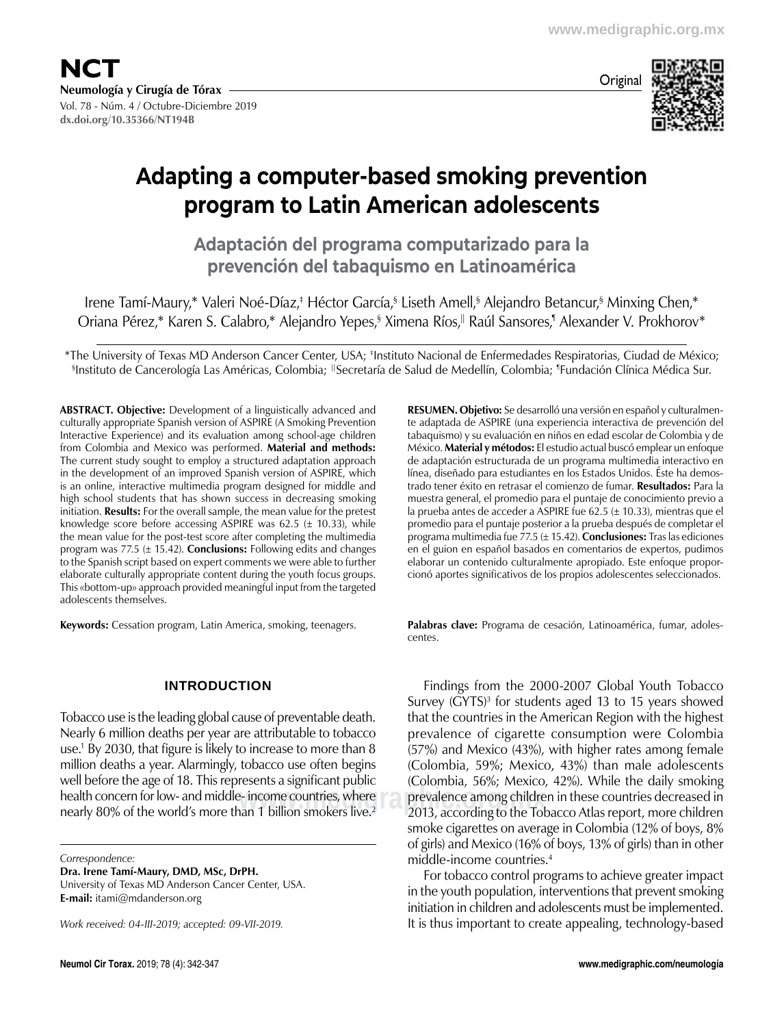

**dx.doi.org/10.35366/NT194B**



## **Adapting a computer-based smoking prevention program to Latin American adolescents**

**Adaptación del programa computarizado para la prevención del tabaquismo en Latinoamérica**

Irene Tamí-Maury,\* Valeri Noé-Díaz,‡ Héctor García,§ Liseth Amell,§ Alejandro Betancur,§ Minxing Chen,\* Oriana Pérez,\* Karen S. Calabro,\* Alejandro Yepes,§ Ximena Ríos,|| Raúl Sansores,¶ Alexander V. Prokhorov\*

\*The University of Texas MD Anderson Cancer Center, USA; ‡ Instituto Nacional de Enfermedades Respiratorias, Ciudad de México; § Instituto de Cancerología Las Américas, Colombia; || Secretaría de Salud de Medellín, Colombia; ¶ Fundación Clínica Médica Sur.

**ABSTRACT. Objective:** Development of a linguistically advanced and culturally appropriate Spanish version of ASPIRE (A Smoking Prevention Interactive Experience) and its evaluation among school-age children from Colombia and Mexico was performed. **Material and methods:** The current study sought to employ a structured adaptation approach in the development of an improved Spanish version of ASPIRE, which is an online, interactive multimedia program designed for middle and high school students that has shown success in decreasing smoking initiation. **Results:** For the overall sample, the mean value for the pretest knowledge score before accessing ASPIRE was 62.5  $(\pm 10.33)$ , while the mean value for the post-test score after completing the multimedia program was 77.5 (± 15.42). **Conclusions:** Following edits and changes to the Spanish script based on expert comments we were able to further elaborate culturally appropriate content during the youth focus groups. This «bottom-up» approach provided meaningful input from the targeted adolescents themselves.

**Keywords:** Cessation program, Latin America, smoking, teenagers.

## **Introduction**

Tobacco use is the leading global cause of preventable death. Nearly 6 million deaths per year are attributable to tobacco use.1 By 2030, that figure is likely to increase to more than 8 million deaths a year. Alarmingly, tobacco use often begins well before the age of 18. This represents a significant public health concern for low- and middle- income countries, where nearly 80% of the world's more than 1 billion smokers live.<sup>2</sup>

*Correspondence:*

**Dra. Irene Tamí-Maury, DMD, MSc, DrPH.**

University of Texas MD Anderson Cancer Center, USA. **E-mail:** itami@mdanderson.org

*Work received: 04-III-2019; accepted: 09-VII-2019.*

**RESUMEN. Objetivo:** Se desarrolló una versión en español y culturalmen‑ te adaptada de ASPIRE (una experiencia interactiva de prevención del tabaquismo) y su evaluación en niños en edad escolar de Colombia y de México. **Material y métodos:** El estudio actual buscó emplear un enfoque de adaptación estructurada de un programa multimedia interactivo en línea, diseñado para estudiantes en los Estados Unidos. Éste ha demostrado tener éxito en retrasar el comienzo de fumar. **Resultados:** Para la muestra general, el promedio para el puntaje de conocimiento previo a la prueba antes de acceder a ASPIRE fue 62.5 ( $\pm$  10.33), mientras que el promedio para el puntaje posterior a la prueba después de completar el programa multimedia fue 77.5 (± 15.42). **Conclusiones:** Tras las ediciones en el guion en español basados en comentarios de expertos, pudimos elaborar un contenido culturalmente apropiado. Este enfoque proporcionó aportes significativos de los propios adolescentes seleccionados.

Palabras clave: Programa de cesación, Latinoamérica, fumar, adolescentes.

e- income countries, where some prevalence among children in these countries decreased in<br>han 1 billion smokers live.<sup>2</sup> shall according to the Tobacco Atlas report, more children Findings from the 2000-2007 Global Youth Tobacco Survey (GYTS)<sup>3</sup> for students aged 13 to 15 years showed that the countries in the American Region with the highest prevalence of cigarette consumption were Colombia (57%) and Mexico (43%), with higher rates among female (Colombia, 59%; Mexico, 43%) than male adolescents (Colombia, 56%; Mexico, 42%). While the daily smoking 2013, according to the Tobacco Atlas report, more children smoke cigarettes on average in Colombia (12% of boys, 8% of girls) and Mexico (16% of boys, 13% of girls) than in other middle-income countries.4

> For tobacco control programs to achieve greater impact in the youth population, interventions that prevent smoking initiation in children and adolescents must be implemented. It is thus important to create appealing, technology-based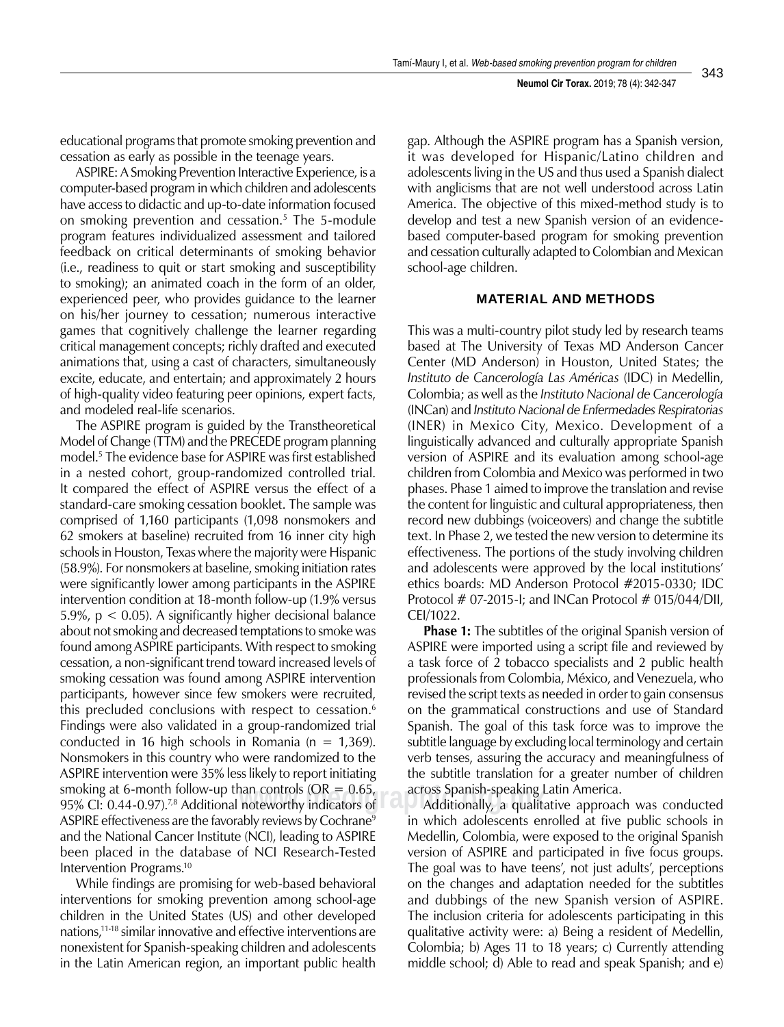educational programs that promote smoking prevention and cessation as early as possible in the teenage years.

ASPIRE: A Smoking Prevention Interactive Experience, is a computer-based program in which children and adolescents have access to didactic and up-to-date information focused on smoking prevention and cessation.5 The 5-module program features individualized assessment and tailored feedback on critical determinants of smoking behavior (i.e., readiness to quit or start smoking and susceptibility to smoking); an animated coach in the form of an older, experienced peer, who provides guidance to the learner on his/her journey to cessation; numerous interactive games that cognitively challenge the learner regarding critical management concepts; richly drafted and executed animations that, using a cast of characters, simultaneously excite, educate, and entertain; and approximately 2 hours of high-quality video featuring peer opinions, expert facts, and modeled real-life scenarios.

95% CI: 0.44-0.97).<sup>7,8</sup> Additional noteworthy indicators of Additionally, a quality and a structure of a structure of a structure of a structure of a structure of a structure of a structure of a structure of a structure o The ASPIRE program is guided by the Transtheoretical Model of Change (TTM) and the PRECEDE program planning model.5 The evidence base for ASPIRE was first established in a nested cohort, group-randomized controlled trial. It compared the effect of ASPIRE versus the effect of a standard-care smoking cessation booklet. The sample was comprised of 1,160 participants (1,098 nonsmokers and 62 smokers at baseline) recruited from 16 inner city high schools in Houston, Texas where the majority were Hispanic (58.9%). For nonsmokers at baseline, smoking initiation rates were significantly lower among participants in the ASPIRE intervention condition at 18-month follow-up (1.9% versus 5.9%, p < 0.05). A significantly higher decisional balance about not smoking and decreased temptations to smoke was found among ASPIRE participants. With respect to smoking cessation, a non-significant trend toward increased levels of smoking cessation was found among ASPIRE intervention participants, however since few smokers were recruited, this precluded conclusions with respect to cessation.<sup>6</sup> Findings were also validated in a group-randomized trial conducted in 16 high schools in Romania ( $n = 1,369$ ). Nonsmokers in this country who were randomized to the ASPIRE intervention were 35% less likely to report initiating smoking at 6-month follow-up than controls ( $OR = 0.65$ , ASPIRE effectiveness are the favorably reviews by Cochrane<sup>9</sup> and the National Cancer Institute (NCI), leading to ASPIRE been placed in the database of NCI Research-Tested Intervention Programs.10

While findings are promising for web-based behavioral interventions for smoking prevention among school-age children in the United States (US) and other developed nations,11-18 similar innovative and effective interventions are nonexistent for Spanish-speaking children and adolescents in the Latin American region, an important public health

gap. Although the ASPIRE program has a Spanish version, it was developed for Hispanic/Latino children and adolescents living in the US and thus used a Spanish dialect with anglicisms that are not well understood across Latin America. The objective of this mixed-method study is to develop and test a new Spanish version of an evidencebased computer-based program for smoking prevention and cessation culturally adapted to Colombian and Mexican school-age children.

#### **Material and methods**

This was a multi-country pilot study led by research teams based at The University of Texas MD Anderson Cancer Center (MD Anderson) in Houston, United States; the *Instituto de Cancerología Las Américas* (IDC) in Medellin, Colombia; as well as the *Instituto Nacional de Cancerología* (INCan) and *Instituto Nacional de Enfermedades Respiratorias* (INER) in Mexico City, Mexico. Development of a linguistically advanced and culturally appropriate Spanish version of ASPIRE and its evaluation among school-age children from Colombia and Mexico was performed in two phases. Phase 1 aimed to improve the translation and revise the content for linguistic and cultural appropriateness, then record new dubbings (voiceovers) and change the subtitle text. In Phase 2, we tested the new version to determine its effectiveness. The portions of the study involving children and adolescents were approved by the local institutions' ethics boards: MD Anderson Protocol #2015-0330; IDC Protocol # 07-2015-I; and INCan Protocol # 015/044/DII, CEI/1022.

**Phase 1:** The subtitles of the original Spanish version of ASPIRE were imported using a script file and reviewed by a task force of 2 tobacco specialists and 2 public health professionals from Colombia, México, and Venezuela, who revised the script texts as needed in order to gain consensus on the grammatical constructions and use of Standard Spanish. The goal of this task force was to improve the subtitle language by excluding local terminology and certain verb tenses, assuring the accuracy and meaningfulness of the subtitle translation for a greater number of children across Spanish-speaking Latin America.

Additionally, a qualitative approach was conducted in which adolescents enrolled at five public schools in Medellin, Colombia, were exposed to the original Spanish version of ASPIRE and participated in five focus groups. The goal was to have teens', not just adults', perceptions on the changes and adaptation needed for the subtitles and dubbings of the new Spanish version of ASPIRE. The inclusion criteria for adolescents participating in this qualitative activity were: a) Being a resident of Medellin, Colombia; b) Ages 11 to 18 years; c) Currently attending middle school; d) Able to read and speak Spanish; and e)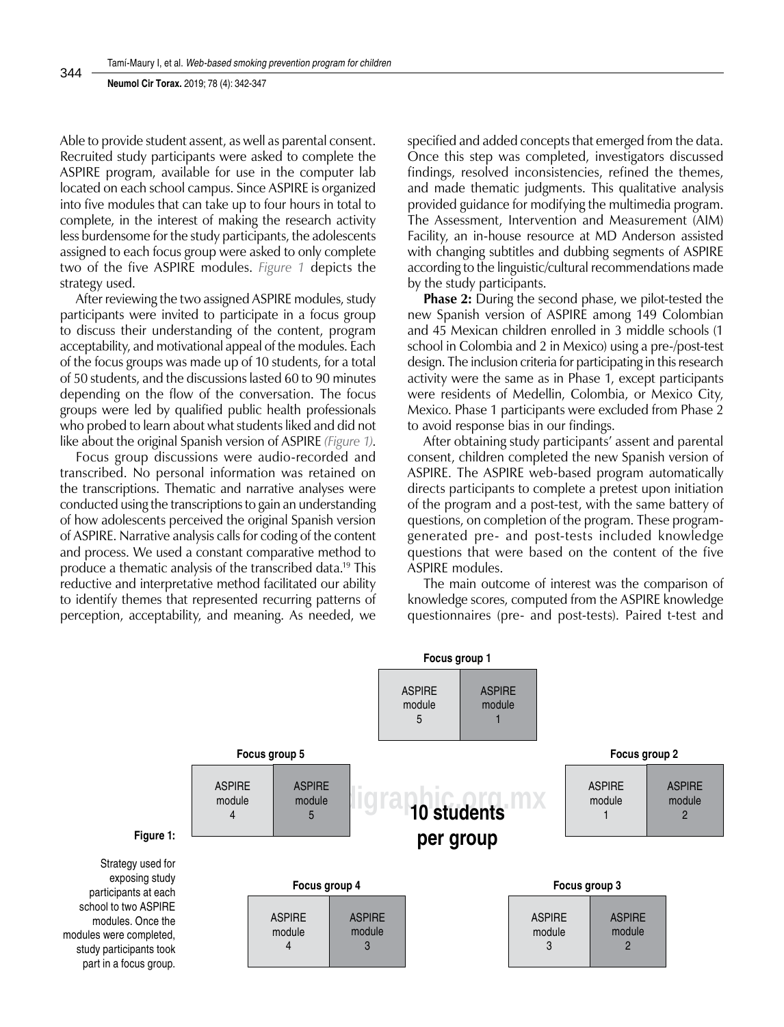#### **Neumol Cir Torax.** 2019; 78 (4): 342-347

Able to provide student assent, as well as parental consent. Recruited study participants were asked to complete the ASPIRE program, available for use in the computer lab located on each school campus. Since ASPIRE is organized into five modules that can take up to four hours in total to complete, in the interest of making the research activity less burdensome for the study participants, the adolescents assigned to each focus group were asked to only complete two of the five ASPIRE modules. *Figure 1* depicts the strategy used.

After reviewing the two assigned ASPIRE modules, study participants were invited to participate in a focus group to discuss their understanding of the content, program acceptability, and motivational appeal of the modules. Each of the focus groups was made up of 10 students, for a total of 50 students, and the discussions lasted 60 to 90 minutes depending on the flow of the conversation. The focus groups were led by qualified public health professionals who probed to learn about what students liked and did not like about the original Spanish version of ASPIRE *(Figure 1)*.

Focus group discussions were audio-recorded and transcribed. No personal information was retained on the transcriptions. Thematic and narrative analyses were conducted using the transcriptions to gain an understanding of how adolescents perceived the original Spanish version of ASPIRE. Narrative analysis calls for coding of the content and process. We used a constant comparative method to produce a thematic analysis of the transcribed data.19 This reductive and interpretative method facilitated our ability to identify themes that represented recurring patterns of perception, acceptability, and meaning. As needed, we

specified and added concepts that emerged from the data. Once this step was completed, investigators discussed findings, resolved inconsistencies, refined the themes, and made thematic judgments. This qualitative analysis provided guidance for modifying the multimedia program. The Assessment, Intervention and Measurement (AIM) Facility, an in-house resource at MD Anderson assisted with changing subtitles and dubbing segments of ASPIRE according to the linguistic/cultural recommendations made by the study participants.

**Phase 2:** During the second phase, we pilot-tested the new Spanish version of ASPIRE among 149 Colombian and 45 Mexican children enrolled in 3 middle schools (1 school in Colombia and 2 in Mexico) using a pre-/post-test design. The inclusion criteria for participating in this research activity were the same as in Phase 1, except participants were residents of Medellin, Colombia, or Mexico City, Mexico. Phase 1 participants were excluded from Phase 2 to avoid response bias in our findings.

After obtaining study participants' assent and parental consent, children completed the new Spanish version of ASPIRE. The ASPIRE web-based program automatically directs participants to complete a pretest upon initiation of the program and a post-test, with the same battery of questions, on completion of the program. These programgenerated pre- and post-tests included knowledge questions that were based on the content of the five ASPIRE modules.

The main outcome of interest was the comparison of knowledge scores, computed from the ASPIRE knowledge questionnaires (pre- and post-tests). Paired t-test and



344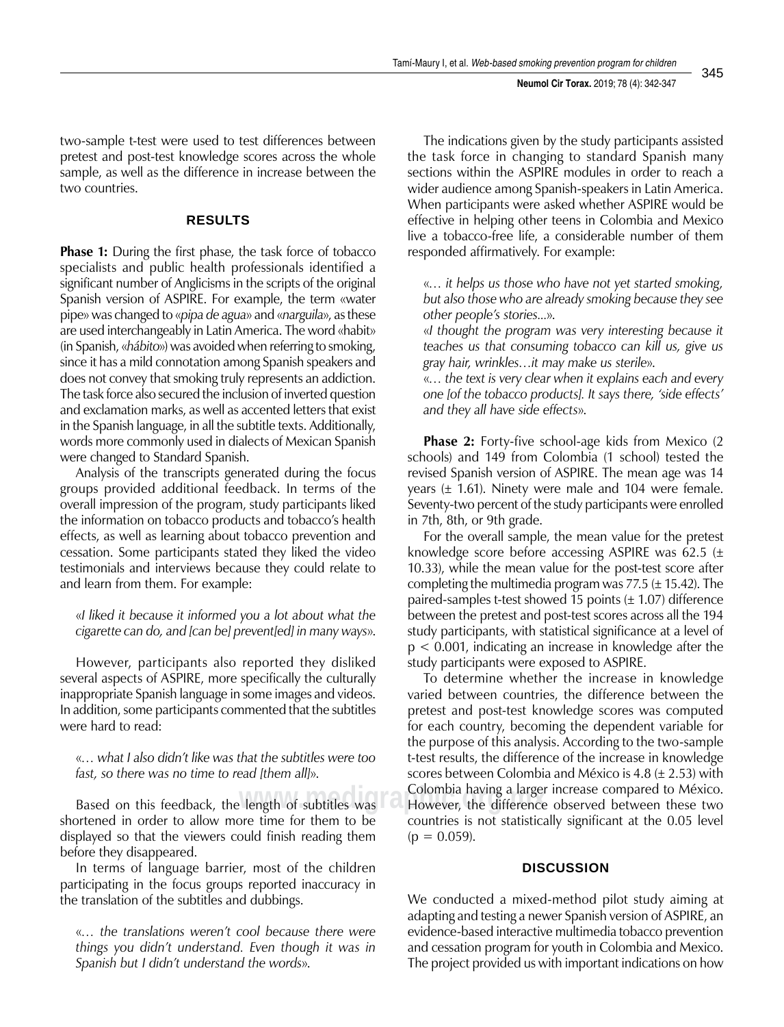two-sample t-test were used to test differences between pretest and post-test knowledge scores across the whole sample, as well as the difference in increase between the two countries.

## **Results**

**Phase 1:** During the first phase, the task force of tobacco specialists and public health professionals identified a significant number of Anglicisms in the scripts of the original Spanish version of ASPIRE. For example, the term «water pipe» was changed to «*pipa de agua*» and «*narguila*», as these are used interchangeably in Latin America. The word «habit» (in Spanish, «*hábito*») was avoided when referring to smoking, since it has a mild connotation among Spanish speakers and does not convey that smoking truly represents an addiction. The task force also secured the inclusion of inverted question and exclamation marks, as well as accented letters that exist in the Spanish language, in all the subtitle texts. Additionally, words more commonly used in dialects of Mexican Spanish were changed to Standard Spanish.

Analysis of the transcripts generated during the focus groups provided additional feedback. In terms of the overall impression of the program, study participants liked the information on tobacco products and tobacco's health effects, as well as learning about tobacco prevention and cessation. Some participants stated they liked the video testimonials and interviews because they could relate to and learn from them. For example:

«*I liked it because it informed you a lot about what the cigarette can do, and [can be] prevent[ed] in many ways*».

However, participants also reported they disliked several aspects of ASPIRE, more specifically the culturally inappropriate Spanish language in some images and videos. In addition, some participants commented that the subtitles were hard to read:

«*… what I also didn't like was that the subtitles were too fast, so there was no time to read [them all]*».

Based on this feedback, the length of subtitles was **COLOMBIA** Having a larger shortened in order to allow more time for them to be displayed so that the viewers could finish reading them before they disappeared.

In terms of language barrier, most of the children participating in the focus groups reported inaccuracy in the translation of the subtitles and dubbings.

«*… the translations weren't cool because there were things you didn't understand. Even though it was in Spanish but I didn't understand the words*».

The indications given by the study participants assisted the task force in changing to standard Spanish many sections within the ASPIRE modules in order to reach a wider audience among Spanish-speakers in Latin America. When participants were asked whether ASPIRE would be effective in helping other teens in Colombia and Mexico live a tobacco-free life, a considerable number of them responded affirmatively. For example:

«*… it helps us those who have not yet started smoking, but also those who are already smoking because they see other people's stories...*».

«*I thought the program was very interesting because it teaches us that consuming tobacco can kill us, give us gray hair, wrinkles…it may make us sterile*».

«*… the text is very clear when it explains each and every one [of the tobacco products]. It says there, 'side effects' and they all have side effects*».

**Phase 2:** Forty-five school-age kids from Mexico (2 schools) and 149 from Colombia (1 school) tested the revised Spanish version of ASPIRE. The mean age was 14 years ( $\pm$  1.61). Ninety were male and 104 were female. Seventy-two percent of the study participants were enrolled in 7th, 8th, or 9th grade.

For the overall sample, the mean value for the pretest knowledge score before accessing ASPIRE was 62.5  $(\pm)$ 10.33), while the mean value for the post-test score after completing the multimedia program was  $77.5 \ (\pm 15.42)$ . The paired-samples t-test showed 15 points  $(\pm 1.07)$  difference between the pretest and post-test scores across all the 194 study participants, with statistical significance at a level of p < 0.001, indicating an increase in knowledge after the study participants were exposed to ASPIRE.

To determine whether the increase in knowledge varied between countries, the difference between the pretest and post-test knowledge scores was computed for each country, becoming the dependent variable for the purpose of this analysis. According to the two-sample t-test results, the difference of the increase in knowledge scores between Colombia and México is 4.8 ( $\pm$  2.53) with Colombia having a larger increase compared to México. However, the difference observed between these two countries is not statistically significant at the 0.05 level  $(p = 0.059)$ .

### **Discussion**

We conducted a mixed-method pilot study aiming at adapting and testing a newer Spanish version of ASPIRE, an evidence-based interactive multimedia tobacco prevention and cessation program for youth in Colombia and Mexico. The project provided us with important indications on how

345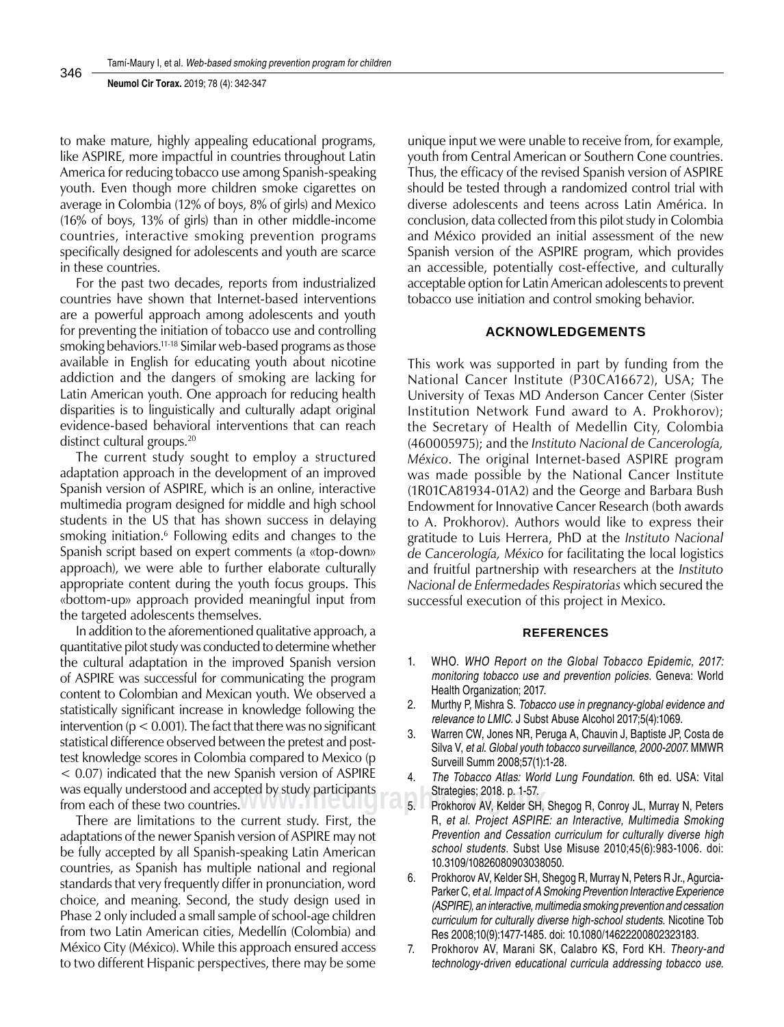**Neumol Cir Torax.** 2019; 78 (4): 342-347

to make mature, highly appealing educational programs, like ASPIRE, more impactful in countries throughout Latin America for reducing tobacco use among Spanish-speaking youth. Even though more children smoke cigarettes on average in Colombia (12% of boys, 8% of girls) and Mexico (16% of boys, 13% of girls) than in other middle-income countries, interactive smoking prevention programs specifically designed for adolescents and youth are scarce in these countries.

For the past two decades, reports from industrialized countries have shown that Internet-based interventions are a powerful approach among adolescents and youth for preventing the initiation of tobacco use and controlling smoking behaviors.<sup>11-18</sup> Similar web-based programs as those available in English for educating youth about nicotine addiction and the dangers of smoking are lacking for Latin American youth. One approach for reducing health disparities is to linguistically and culturally adapt original evidence-based behavioral interventions that can reach distinct cultural groups.<sup>20</sup>

The current study sought to employ a structured adaptation approach in the development of an improved Spanish version of ASPIRE, which is an online, interactive multimedia program designed for middle and high school students in the US that has shown success in delaying smoking initiation.<sup>6</sup> Following edits and changes to the Spanish script based on expert comments (a «top-down» approach), we were able to further elaborate culturally appropriate content during the youth focus groups. This «bottom-up» approach provided meaningful input from the targeted adolescents themselves.

In addition to the aforementioned qualitative approach, a quantitative pilot study was conducted to determine whether the cultural adaptation in the improved Spanish version of ASPIRE was successful for communicating the program content to Colombian and Mexican youth. We observed a statistically significant increase in knowledge following the intervention ( $p < 0.001$ ). The fact that there was no significant statistical difference observed between the pretest and posttest knowledge scores in Colombia compared to Mexico (p < 0.07) indicated that the new Spanish version of ASPIRE was equally understood and accepted by study participants from each of these two countries.

There are limitations to the current study. First, the adaptations of the newer Spanish version of ASPIRE may not be fully accepted by all Spanish-speaking Latin American countries, as Spanish has multiple national and regional standards that very frequently differ in pronunciation, word choice, and meaning. Second, the study design used in Phase 2 only included a small sample of school-age children from two Latin American cities, Medellín (Colombia) and México City (México). While this approach ensured access to two different Hispanic perspectives, there may be some

unique input we were unable to receive from, for example, youth from Central American or Southern Cone countries. Thus, the efficacy of the revised Spanish version of ASPIRE should be tested through a randomized control trial with diverse adolescents and teens across Latin América. In conclusion, data collected from this pilot study in Colombia and México provided an initial assessment of the new Spanish version of the ASPIRE program, which provides an accessible, potentially cost-effective, and culturally acceptable option for Latin American adolescents to prevent tobacco use initiation and control smoking behavior.

#### **Acknowledgements**

This work was supported in part by funding from the National Cancer Institute (P30CA16672), USA; The University of Texas MD Anderson Cancer Center (Sister Institution Network Fund award to A. Prokhorov); the Secretary of Health of Medellin City, Colombia (460005975); and the *Instituto Nacional de Cancerología, México*. The original Internet-based ASPIRE program was made possible by the National Cancer Institute (1R01CA81934-01A2) and the George and Barbara Bush Endowment for Innovative Cancer Research (both awards to A. Prokhorov). Authors would like to express their gratitude to Luis Herrera, PhD at the *Instituto Nacional de Cancerología, México* for facilitating the local logistics and fruitful partnership with researchers at the *Instituto Nacional de Enfermedades Respiratorias* which secured the successful execution of this project in Mexico.

#### **References**

- 1. WHO. *WHO Report on the Global Tobacco Epidemic, 2017: monitoring tobacco use and prevention policies.* Geneva: World Health Organization; 2017.
- 2. Murthy P, Mishra S. *Tobacco use in pregnancy-global evidence and relevance to LMIC.* J Subst Abuse Alcohol 2017;5(4):1069.
- 3. Warren CW, Jones NR, Peruga A, Chauvin J, Baptiste JP, Costa de Silva V, *et al. Global youth tobacco surveillance, 2000-2007.* MMWR Surveill Summ 2008;57(1):1-28.
- 4. *The Tobacco Atlas: World Lung Foundation.* 6th ed. USA: Vital Strategies; 2018. p. 1-57.
- www.media.org.mx<br>Figure 3. Prokhorov AV, Kelder SH, Shegog R, Conroy JL, Murray N, Peters R, *et al. Project ASPIRE: an Interactive, Multimedia Smoking Prevention and Cessation curriculum for culturally diverse high school students.* Subst Use Misuse 2010;45(6):983-1006. doi: 10.3109/10826080903038050.
	- 6. Prokhorov AV, Kelder SH, Shegog R, Murray N, Peters R Jr., Agurcia-Parker C, *et al. Impact of A Smoking Prevention Interactive Experience (ASPIRE), an interactive, multimedia smoking prevention and cessation curriculum for culturally diverse high-school students.* Nicotine Tob Res 2008;10(9):1477-1485. doi: 10.1080/14622200802323183.
	- 7. Prokhorov AV, Marani SK, Calabro KS, Ford KH. *Theory-and technology-driven educational curricula addressing tobacco use.*

346